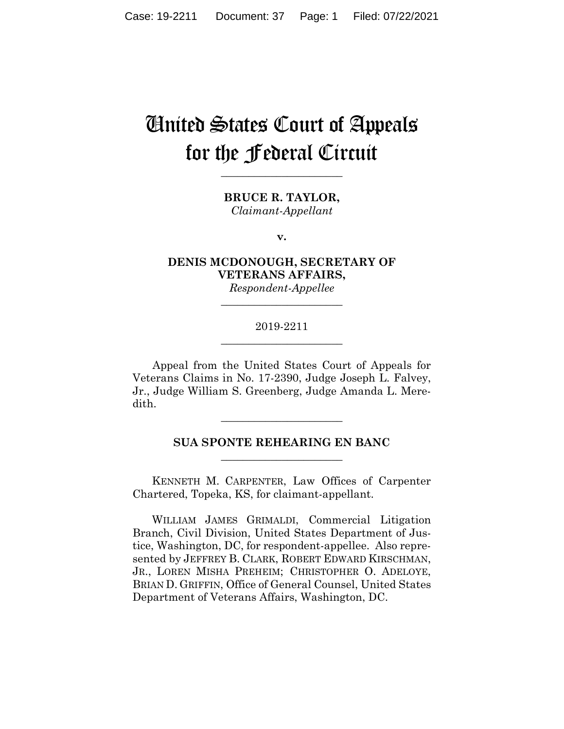# United States Court of Appeals for the Federal Circuit

**\_\_\_\_\_\_\_\_\_\_\_\_\_\_\_\_\_\_\_\_\_\_**

**BRUCE R. TAYLOR,** *Claimant-Appellant*

**v.**

**DENIS MCDONOUGH, SECRETARY OF VETERANS AFFAIRS,**

*Respondent-Appellee* **\_\_\_\_\_\_\_\_\_\_\_\_\_\_\_\_\_\_\_\_\_\_**

#### 2019-2211 **\_\_\_\_\_\_\_\_\_\_\_\_\_\_\_\_\_\_\_\_\_\_**

Appeal from the United States Court of Appeals for Veterans Claims in No. 17-2390, Judge Joseph L. Falvey, Jr., Judge William S. Greenberg, Judge Amanda L. Meredith.

**\_\_\_\_\_\_\_\_\_\_\_\_\_\_\_\_\_\_\_\_\_\_**

### **SUA SPONTE REHEARING EN BANC \_\_\_\_\_\_\_\_\_\_\_\_\_\_\_\_\_\_\_\_\_\_**

 KENNETH M. CARPENTER, Law Offices of Carpenter Chartered, Topeka, KS, for claimant-appellant.

 WILLIAM JAMES GRIMALDI, Commercial Litigation Branch, Civil Division, United States Department of Justice, Washington, DC, for respondent-appellee. Also represented by JEFFREY B. CLARK, ROBERT EDWARD KIRSCHMAN, JR., LOREN MISHA PREHEIM; CHRISTOPHER O. ADELOYE, BRIAN D. GRIFFIN, Office of General Counsel, United States Department of Veterans Affairs, Washington, DC.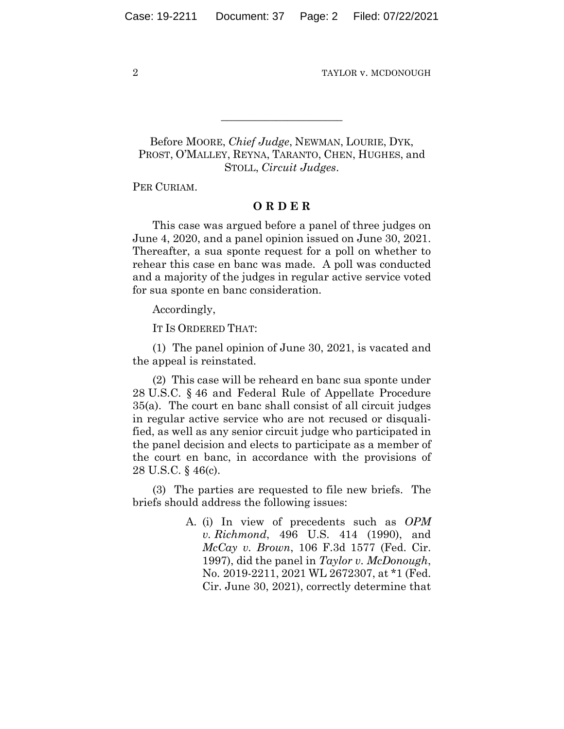## Before MOORE, *Chief Judge*, NEWMAN, LOURIE, DYK, PROST, O'MALLEY, REYNA, TARANTO, CHEN, HUGHES, and STOLL, *Circuit Judges*.

**\_\_\_\_\_\_\_\_\_\_\_\_\_\_\_\_\_\_\_\_\_\_**

PER CURIAM.

#### **O R D E R**

This case was argued before a panel of three judges on June 4, 2020, and a panel opinion issued on June 30, 2021. Thereafter, a sua sponte request for a poll on whether to rehear this case en banc was made. A poll was conducted and a majority of the judges in regular active service voted for sua sponte en banc consideration.

Accordingly,

IT IS ORDERED THAT:

(1) The panel opinion of June 30, 2021, is vacated and the appeal is reinstated.

(2) This case will be reheard en banc sua sponte under 28 U.S.C. § 46 and Federal Rule of Appellate Procedure 35(a). The court en banc shall consist of all circuit judges in regular active service who are not recused or disqualified, as well as any senior circuit judge who participated in the panel decision and elects to participate as a member of the court en banc, in accordance with the provisions of 28 U.S.C. § 46(c).

(3) The parties are requested to file new briefs. The briefs should address the following issues:

> A. (i) In view of precedents such as *OPM v. Richmond*, 496 U.S. 414 (1990), and *McCay v. Brown*, 106 F.3d 1577 (Fed. Cir. 1997), did the panel in *Taylor v. McDonough*, No. 2019-2211, 2021 WL 2672307, at \*1 (Fed. Cir. June 30, 2021), correctly determine that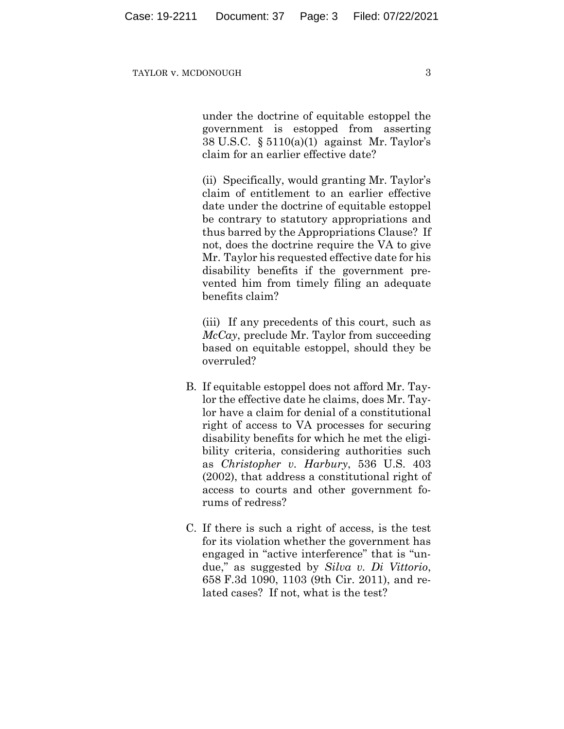under the doctrine of equitable estoppel the government is estopped from asserting 38 U.S.C. § 5110(a)(1) against Mr. Taylor's claim for an earlier effective date?

(ii) Specifically, would granting Mr. Taylor's claim of entitlement to an earlier effective date under the doctrine of equitable estoppel be contrary to statutory appropriations and thus barred by the Appropriations Clause? If not, does the doctrine require the VA to give Mr. Taylor his requested effective date for his disability benefits if the government prevented him from timely filing an adequate benefits claim?

(iii) If any precedents of this court, such as *McCay*, preclude Mr. Taylor from succeeding based on equitable estoppel, should they be overruled?

- B. If equitable estoppel does not afford Mr. Taylor the effective date he claims, does Mr. Taylor have a claim for denial of a constitutional right of access to VA processes for securing disability benefits for which he met the eligibility criteria, considering authorities such as *Christopher v. Harbury*, 536 U.S. 403 (2002), that address a constitutional right of access to courts and other government forums of redress?
- C. If there is such a right of access, is the test for its violation whether the government has engaged in "active interference" that is "undue," as suggested by *Silva v. Di Vittorio*, 658 F.3d 1090, 1103 (9th Cir. 2011), and related cases? If not, what is the test?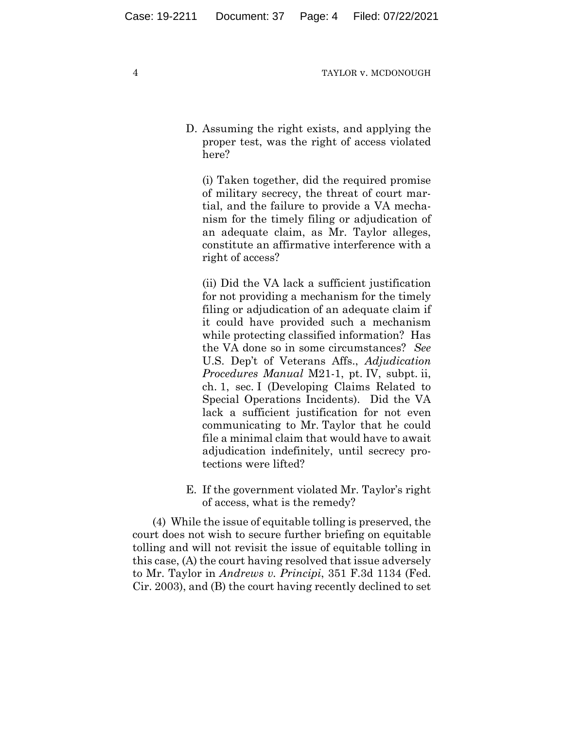D. Assuming the right exists, and applying the proper test, was the right of access violated here?

(i) Taken together, did the required promise of military secrecy, the threat of court martial, and the failure to provide a VA mechanism for the timely filing or adjudication of an adequate claim, as Mr. Taylor alleges, constitute an affirmative interference with a right of access?

(ii) Did the VA lack a sufficient justification for not providing a mechanism for the timely filing or adjudication of an adequate claim if it could have provided such a mechanism while protecting classified information? Has the VA done so in some circumstances? *See*  U.S. Dep't of Veterans Affs., *Adjudication Procedures Manual* M21-1, pt. IV, subpt. ii, ch. 1, sec. I (Developing Claims Related to Special Operations Incidents). Did the VA lack a sufficient justification for not even communicating to Mr. Taylor that he could file a minimal claim that would have to await adjudication indefinitely, until secrecy protections were lifted?

E. If the government violated Mr. Taylor's right of access, what is the remedy?

(4) While the issue of equitable tolling is preserved, the court does not wish to secure further briefing on equitable tolling and will not revisit the issue of equitable tolling in this case, (A) the court having resolved that issue adversely to Mr. Taylor in *Andrews v. Principi*, 351 F.3d 1134 (Fed. Cir. 2003), and (B) the court having recently declined to set